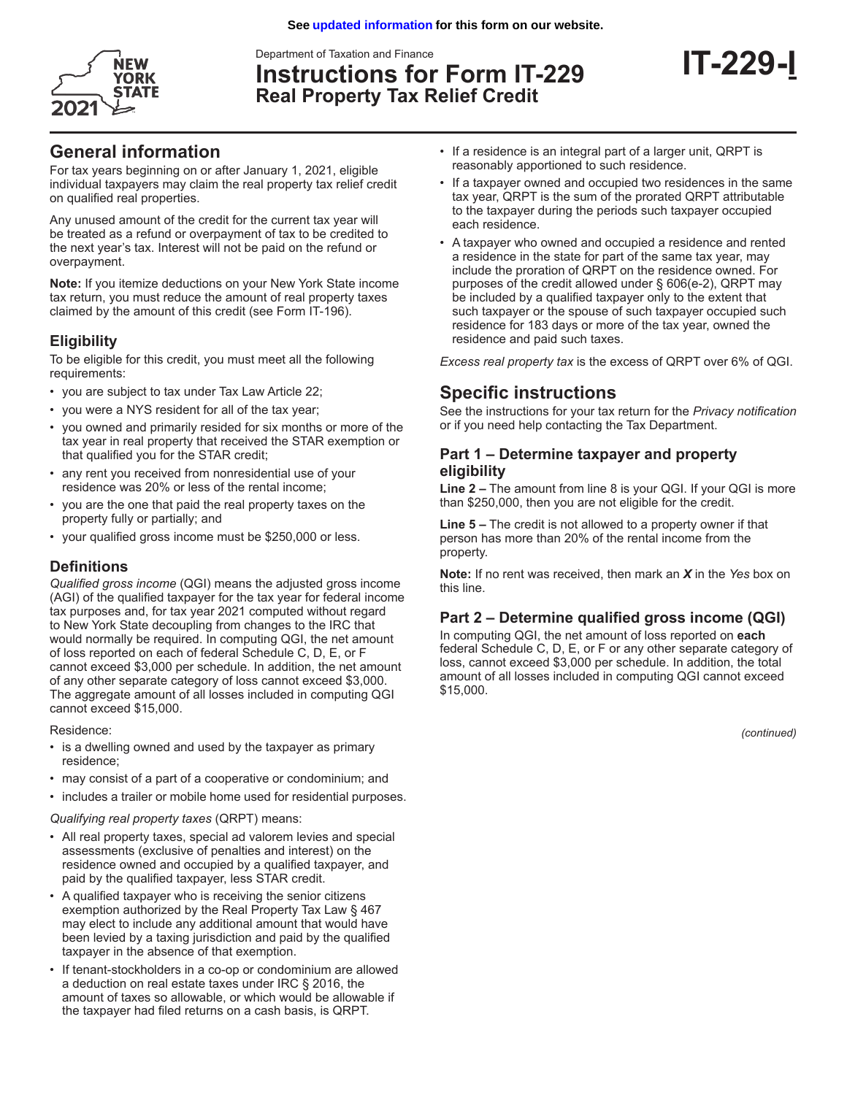Department of Taxation and Finance



**Instructions for Form IT-229 Real Property Tax Relief Credit**

# **General information**

For tax years beginning on or after January 1, 2021, eligible individual taxpayers may claim the real property tax relief credit on qualified real properties.

Any unused amount of the credit for the current tax year will be treated as a refund or overpayment of tax to be credited to the next year's tax. Interest will not be paid on the refund or overpayment.

**Note:** If you itemize deductions on your New York State income tax return, you must reduce the amount of real property taxes claimed by the amount of this credit (see Form IT-196).

## **Eligibility**

To be eligible for this credit, you must meet all the following requirements:

- you are subject to tax under Tax Law Article 22;
- you were a NYS resident for all of the tax year;
- you owned and primarily resided for six months or more of the tax year in real property that received the STAR exemption or that qualified you for the STAR credit;
- any rent you received from nonresidential use of your residence was 20% or less of the rental income;
- you are the one that paid the real property taxes on the property fully or partially; and
- your qualified gross income must be \$250,000 or less.

### **Definitions**

*Qualified gross income* (QGI) means the adjusted gross income (AGI) of the qualified taxpayer for the tax year for federal income tax purposes and, for tax year 2021 computed without regard to New York State decoupling from changes to the IRC that would normally be required. In computing QGI, the net amount of loss reported on each of federal Schedule C, D, E, or F cannot exceed \$3,000 per schedule. In addition, the net amount of any other separate category of loss cannot exceed \$3,000. The aggregate amount of all losses included in computing QGI cannot exceed \$15,000.

Residence:

- is a dwelling owned and used by the taxpayer as primary residence;
- may consist of a part of a cooperative or condominium; and
- includes a trailer or mobile home used for residential purposes.

*Qualifying real property taxes* (QRPT) means:

- All real property taxes, special ad valorem levies and special assessments (exclusive of penalties and interest) on the residence owned and occupied by a qualified taxpayer, and paid by the qualified taxpayer, less STAR credit.
- A qualified taxpayer who is receiving the senior citizens exemption authorized by the Real Property Tax Law § 467 may elect to include any additional amount that would have been levied by a taxing jurisdiction and paid by the qualified taxpayer in the absence of that exemption.
- If tenant-stockholders in a co-op or condominium are allowed a deduction on real estate taxes under IRC § 2016, the amount of taxes so allowable, or which would be allowable if the taxpayer had filed returns on a cash basis, is QRPT.
- If a residence is an integral part of a larger unit, QRPT is reasonably apportioned to such residence.
- If a taxpayer owned and occupied two residences in the same tax year, QRPT is the sum of the prorated QRPT attributable to the taxpayer during the periods such taxpayer occupied each residence.
- A taxpayer who owned and occupied a residence and rented a residence in the state for part of the same tax year, may include the proration of QRPT on the residence owned. For purposes of the credit allowed under § 606(e-2), QRPT may be included by a qualified taxpayer only to the extent that such taxpayer or the spouse of such taxpayer occupied such residence for 183 days or more of the tax year, owned the residence and paid such taxes.

*Excess real property tax* is the excess of QRPT over 6% of QGI.

# **Specific instructions**

See the instructions for your tax return for the *Privacy notification*  or if you need help contacting the Tax Department.

## **Part 1 – Determine taxpayer and property eligibility**

**Line 2 –** The amount from line 8 is your QGI. If your QGI is more than \$250,000, then you are not eligible for the credit.

**Line 5 –** The credit is not allowed to a property owner if that person has more than 20% of the rental income from the property.

**Note:** If no rent was received, then mark an *X* in the *Yes* box on this line.

### **Part 2 – Determine qualified gross income (QGI)**

In computing QGI, the net amount of loss reported on **each** federal Schedule C, D, E, or F or any other separate category of loss, cannot exceed \$3,000 per schedule. In addition, the total amount of all losses included in computing QGI cannot exceed \$15,000.

*(continued)*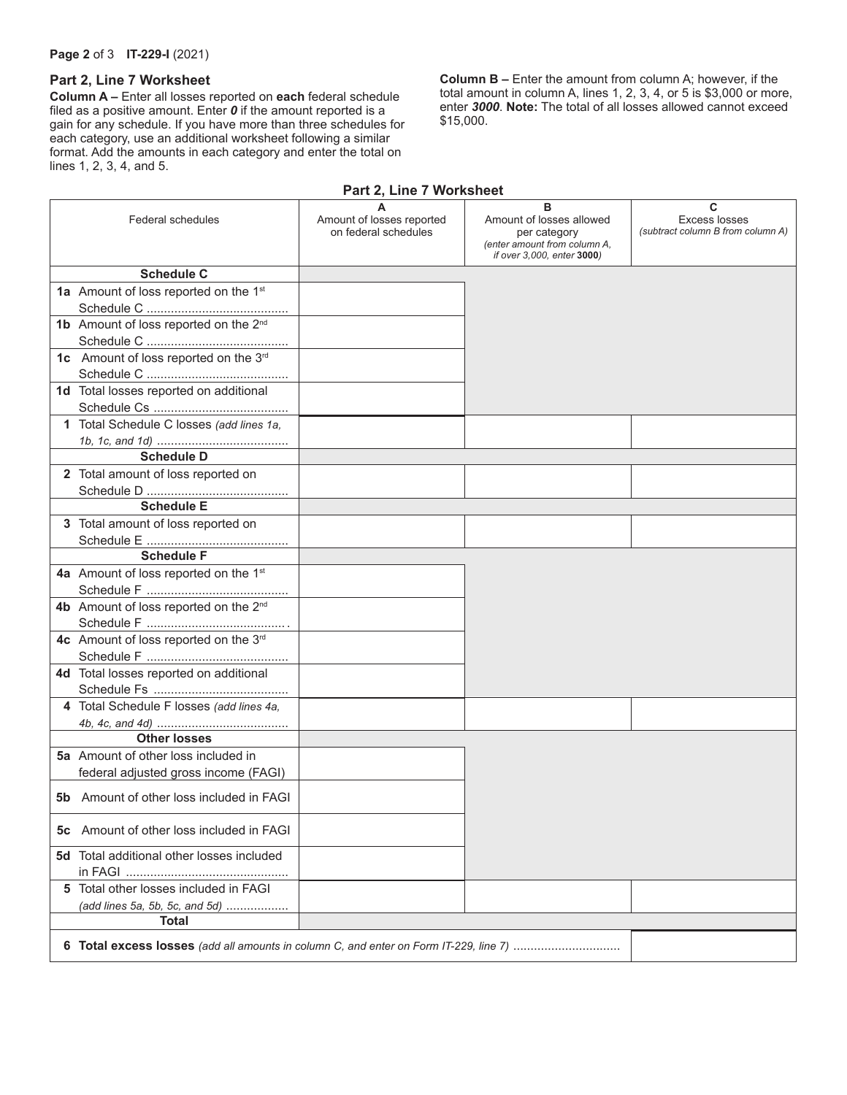#### **Page 2** of 3 **IT-229-I** (2021)

#### **Part 2, Line 7 Worksheet**

**Column A –** Enter all losses reported on **each** federal schedule filed as a positive amount. Enter *0* if the amount reported is a gain for any schedule. If you have more than three schedules for each category, use an additional worksheet following a similar format. Add the amounts in each category and enter the total on lines 1, 2, 3, 4, and 5.

**Column B –** Enter the amount from column A; however, if the total amount in column A, lines 1, 2, 3, 4, or 5 is \$3,000 or more, enter *3000*. **Note:** The total of all losses allowed cannot exceed \$15,000.

### **Part 2, Line 7 Worksheet**

|     | <b>Federal schedules</b>                          | A<br>Amount of losses reported<br>on federal schedules | в<br>Amount of losses allowed<br>per category<br>(enter amount from column A,<br>if over 3,000, enter 3000) | C<br><b>Excess losses</b><br>(subtract column B from column A) |
|-----|---------------------------------------------------|--------------------------------------------------------|-------------------------------------------------------------------------------------------------------------|----------------------------------------------------------------|
|     | <b>Schedule C</b>                                 |                                                        |                                                                                                             |                                                                |
|     | 1a Amount of loss reported on the 1 <sup>st</sup> |                                                        |                                                                                                             |                                                                |
|     |                                                   |                                                        |                                                                                                             |                                                                |
|     | 1b Amount of loss reported on the 2 <sup>nd</sup> |                                                        |                                                                                                             |                                                                |
|     |                                                   |                                                        |                                                                                                             |                                                                |
|     | 1c Amount of loss reported on the 3rd             |                                                        |                                                                                                             |                                                                |
|     |                                                   |                                                        |                                                                                                             |                                                                |
|     | 1d Total losses reported on additional            |                                                        |                                                                                                             |                                                                |
|     |                                                   |                                                        |                                                                                                             |                                                                |
|     | 1 Total Schedule C losses (add lines 1a,          |                                                        |                                                                                                             |                                                                |
|     |                                                   |                                                        |                                                                                                             |                                                                |
|     | <b>Schedule D</b>                                 |                                                        |                                                                                                             |                                                                |
|     | 2 Total amount of loss reported on                |                                                        |                                                                                                             |                                                                |
|     |                                                   |                                                        |                                                                                                             |                                                                |
|     | <b>Schedule E</b>                                 |                                                        |                                                                                                             |                                                                |
|     | 3 Total amount of loss reported on                |                                                        |                                                                                                             |                                                                |
|     |                                                   |                                                        |                                                                                                             |                                                                |
|     | <b>Schedule F</b>                                 |                                                        |                                                                                                             |                                                                |
|     | 4a Amount of loss reported on the 1 <sup>st</sup> |                                                        |                                                                                                             |                                                                |
|     |                                                   |                                                        |                                                                                                             |                                                                |
|     | 4b Amount of loss reported on the 2 <sup>nd</sup> |                                                        |                                                                                                             |                                                                |
|     |                                                   |                                                        |                                                                                                             |                                                                |
|     | 4c Amount of loss reported on the 3rd             |                                                        |                                                                                                             |                                                                |
|     |                                                   |                                                        |                                                                                                             |                                                                |
|     | 4d Total losses reported on additional            |                                                        |                                                                                                             |                                                                |
|     |                                                   |                                                        |                                                                                                             |                                                                |
|     | 4 Total Schedule F losses (add lines 4a,          |                                                        |                                                                                                             |                                                                |
|     | <b>Other losses</b>                               |                                                        |                                                                                                             |                                                                |
|     | <b>5a</b> Amount of other loss included in        |                                                        |                                                                                                             |                                                                |
|     | federal adjusted gross income (FAGI)              |                                                        |                                                                                                             |                                                                |
|     |                                                   |                                                        |                                                                                                             |                                                                |
| 5b. | Amount of other loss included in FAGI             |                                                        |                                                                                                             |                                                                |
|     |                                                   |                                                        |                                                                                                             |                                                                |
| 5с  | Amount of other loss included in FAGI             |                                                        |                                                                                                             |                                                                |
|     | <b>5d</b> Total additional other losses included  |                                                        |                                                                                                             |                                                                |
|     |                                                   |                                                        |                                                                                                             |                                                                |
|     | 5 Total other losses included in FAGI             |                                                        |                                                                                                             |                                                                |
|     | (add lines 5a, 5b, 5c, and 5d)                    |                                                        |                                                                                                             |                                                                |
|     | Total                                             |                                                        |                                                                                                             |                                                                |
|     |                                                   |                                                        |                                                                                                             |                                                                |
|     |                                                   |                                                        |                                                                                                             |                                                                |